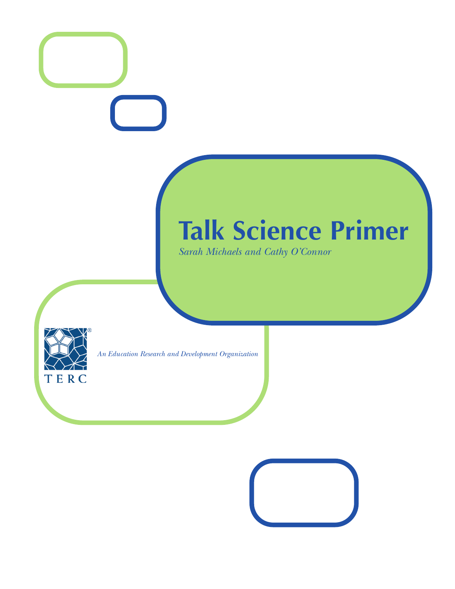# **Talk Science Primer**

*Sarah Michaels and Cathy O'Connor*



*An Education Research and Development Organization*

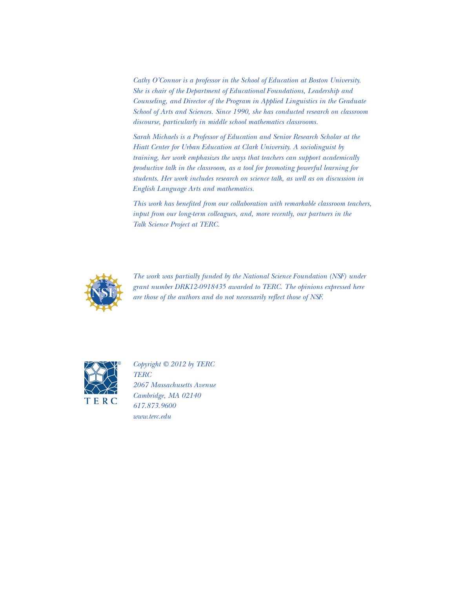*Cathy O'Connor is a professor in the School of Education at Boston University. She is chair of the Department of Educational Foundations, Leadership and Counseling, and Director of the Program in Applied Linguistics in the Graduate School of Arts and Sciences. Since 1990, she has conducted research on classroom discourse, particularly in middle school mathematics classrooms.*

*Sarah Michaels is a Professor of Education and Senior Research Scholar at the Hiatt Center for Urban Education at Clark University. A sociolinguist by training, her work emphasizes the ways that teachers can support academically productive talk in the classroom, as a tool for promoting powerful learning for students. Her work includes research on science talk, as well as on discussion in English Language Arts and mathematics.*

*This work has benefited from our collaboration with remarkable classroom teachers, input from our long-term colleagues, and, more recently, our partners in the Talk Science Project at TERC.* 



*The work was partially funded by the National Science Foundation (NSF) under grant number DRK12-0918435 awarded to TERC. The opinions expressed here are those of the authors and do not necessarily reflect those of NSF.*



*Copyright © 2012 by TERC TERC 2067 Massachusetts Avenue Cambridge, MA 02140 617.873.9600 www.terc.edu*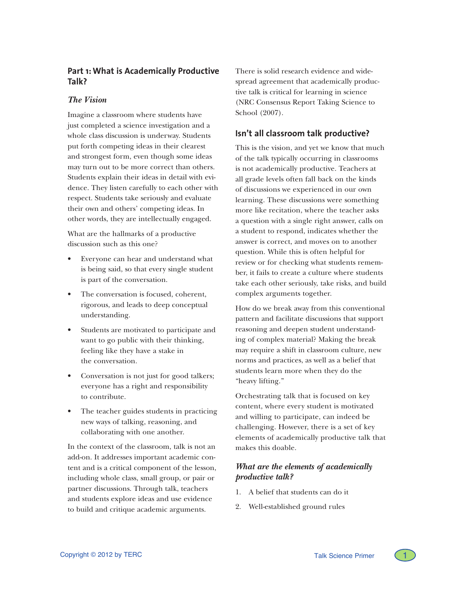# **Part 1: What is Academically Productive Talk?**

## *The Vision*

Imagine a classroom where students have just completed a science investigation and a whole class discussion is underway. Students put forth competing ideas in their clearest and strongest form, even though some ideas may turn out to be more correct than others. Students explain their ideas in detail with evidence. They listen carefully to each other with respect. Students take seriously and evaluate their own and others' competing ideas. In other words, they are intellectually engaged.

What are the hallmarks of a productive discussion such as this one?

- Everyone can hear and understand what is being said, so that every single student is part of the conversation.
- The conversation is focused, coherent, rigorous, and leads to deep conceptual understanding.
- Students are motivated to participate and want to go public with their thinking, feeling like they have a stake in the conversation.
- Conversation is not just for good talkers; everyone has a right and responsibility to contribute.
- The teacher guides students in practicing new ways of talking, reasoning, and collaborating with one another.

In the context of the classroom, talk is not an add-on. It addresses important academic content and is a critical component of the lesson, including whole class, small group, or pair or partner discussions. Through talk, teachers and students explore ideas and use evidence to build and critique academic arguments.

There is solid research evidence and widespread agreement that academically productive talk is critical for learning in science (NRC Consensus Report Taking Science to School (2007).

# **Isn't all classroom talk productive?**

This is the vision, and yet we know that much of the talk typically occurring in classrooms is not academically productive. Teachers at all grade levels often fall back on the kinds of discussions we experienced in our own learning. These discussions were something more like recitation, where the teacher asks a question with a single right answer, calls on a student to respond, indicates whether the answer is correct, and moves on to another question. While this is often helpful for review or for checking what students remember, it fails to create a culture where students take each other seriously, take risks, and build complex arguments together.

How do we break away from this conventional pattern and facilitate discussions that support reasoning and deepen student understanding of complex material? Making the break may require a shift in classroom culture, new norms and practices, as well as a belief that students learn more when they do the "heavy lifting."

Orchestrating talk that is focused on key content, where every student is motivated and willing to participate, can indeed be challenging. However, there is a set of key elements of academically productive talk that makes this doable.

# *What are the elements of academically productive talk?*

- 1. A belief that students can do it
- 2. Well-established ground rules

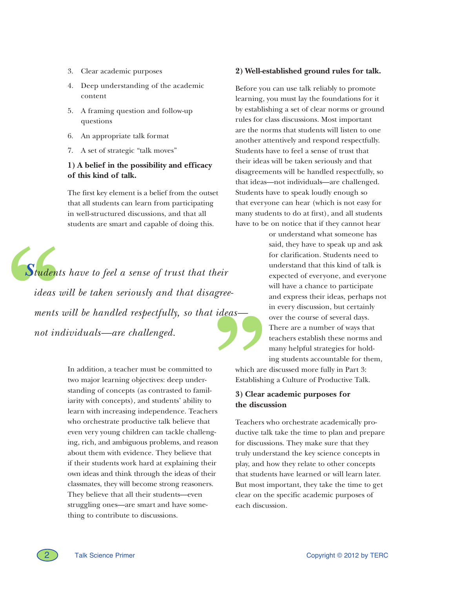- 3. Clear academic purposes
- 4. Deep understanding of the academic content
- 5. A framing question and follow-up questions
- 6. An appropriate talk format
- 7. A set of strategic "talk moves"

## **1) A belief in the possibility and efficacy of this kind of talk.**

The first key element is a belief from the outset that all students can learn from participating in well-structured discussions, and that all students are smart and capable of doing this.

**Student.**<br>
ideas unents<br>
ments<br>
not inc *S tudents have to feel a sense of trust that their ideas will be taken seriously and that disagree -* **"** *ments will be handled respectfully, so that ideas not individuals—are challenged.*

> In addition, a teacher must be committed to two major learning objectives: deep understanding of concepts (as contrasted to familiarity with concepts), and students' ability to learn with increasing independence. Teachers who orchestrate productive talk believe that even very young children can tackle challenging, rich, and ambiguous problems, and reason about them with evidence. They believe that if their students work hard at explaining their own ideas and think through the ideas of their classmates, they will become strong reasoners. They believe that all their students—even struggling ones—are smart and have something to contribute to discussions.

#### **2) Well-established ground rules for talk.**

Before you can use talk reliably to promote learning, you must lay the foundations for it by establishing a set of clear norms or ground rules for class discussions. Most important are the norms that students will listen to one another attentively and respond respectfully. Students have to feel a sense of trust that their ideas will be taken seriously and that disagreements will be handled respectfully, so that ideas—not individuals—are challenged. Students have to speak loudly enough so that everyone can hear (which is not easy for many students to do at first), and all students have to be on notice that if they cannot hear

> or understand what someone has said, they have to speak up and ask for clarification. Students need to understand that this kind of talk is expected of everyone, and everyone will have a chance to participate and express their ideas, perhaps not in every discussion, but certainly over the course of several days. There are a number of ways that teachers establish these norms and many helpful strategies for holding students accountable for them,

which are discussed more fully in Part 3: Establishing a Culture of Productive Talk.

## **3) Clear academic purposes for the discussion**

Teachers who orchestrate academically productive talk take the time to plan and prepare for discussions. They make sure that they truly understand the key science concepts in play, and how they relate to other concepts that students have learned or will learn later. But most important, they take the time to get clear on the specific academic purposes of each discussion.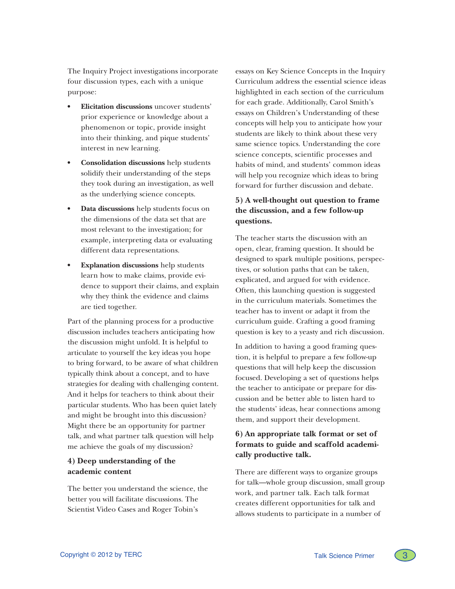The Inquiry Project investigations incorporate four discussion types, each with a unique purpose:

- **Elicitation discussions** uncover students' prior experience or knowledge about a phenomenon or topic, provide insight into their thinking, and pique students' interest in new learning.
- **Consolidation discussions** help students solidify their understanding of the steps they took during an investigation, as well as the underlying science concepts.
- **Data discussions** help students focus on the dimensions of the data set that are most relevant to the investigation; for example, interpreting data or evaluating different data representations.
- **Explanation discussions** help students learn how to make claims, provide evidence to support their claims, and explain why they think the evidence and claims are tied together.

Part of the planning process for a productive discussion includes teachers anticipating how the discussion might unfold. It is helpful to articulate to yourself the key ideas you hope to bring forward, to be aware of what children typically think about a concept, and to have strategies for dealing with challenging content. And it helps for teachers to think about their particular students. Who has been quiet lately and might be brought into this discussion? Might there be an opportunity for partner talk, and what partner talk question will help me achieve the goals of my discussion?

## **4) Deep understanding of the academic content**

The better you understand the science, the better you will facilitate discussions. The Scientist Video Cases and Roger Tobin's

essays on Key Science Concepts in the Inquiry Curriculum address the essential science ideas highlighted in each section of the curriculum for each grade. Additionally, Carol Smith's essays on Children's Understanding of these concepts will help you to anticipate how your students are likely to think about these very same science topics. Understanding the core science concepts, scientific processes and habits of mind, and students' common ideas will help you recognize which ideas to bring forward for further discussion and debate.

# **5) A well-thought out question to frame the discussion, and a few follow-up questions.**

The teacher starts the discussion with an open, clear, framing question. It should be designed to spark multiple positions, perspectives, or solution paths that can be taken, explicated, and argued for with evidence. Often, this launching question is suggested in the curriculum materials. Sometimes the teacher has to invent or adapt it from the curriculum guide. Crafting a good framing question is key to a yeasty and rich discussion.

In addition to having a good framing question, it is helpful to prepare a few follow-up questions that will help keep the discussion focused. Developing a set of questions helps the teacher to anticipate or prepare for discussion and be better able to listen hard to the students' ideas, hear connections among them, and support their development.

# **6) An appropriate talk format or set of formats to guide and scaffold academically productive talk.**

There are different ways to organize groups for talk—whole group discussion, small group work, and partner talk. Each talk format creates different opportunities for talk and allows students to participate in a number of

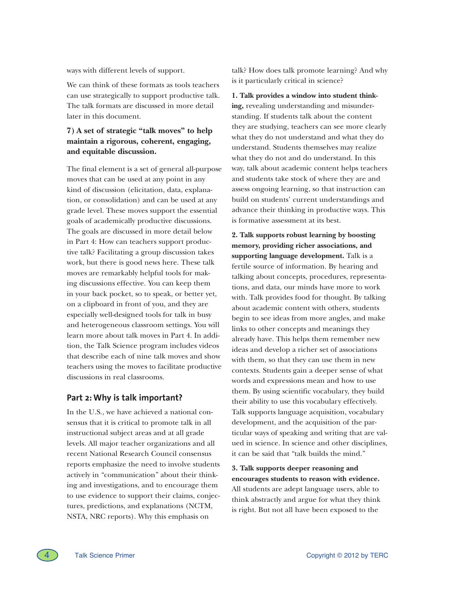ways with different levels of support.

We can think of these formats as tools teachers can use strategically to support productive talk. The talk formats are discussed in more detail later in this document.

# **7) A set of strategic "talk moves" to help maintain a rigorous, coherent, engaging, and equitable discussion.**

The final element is a set of general all-purpose moves that can be used at any point in any kind of discussion (elicitation, data, explanation, or consolidation) and can be used at any grade level. These moves support the essential goals of academically productive discussions. The goals are discussed in more detail below in Part 4: How can teachers support productive talk? Facilitating a group discussion takes work, but there is good news here. These talk moves are remarkably helpful tools for making discussions effective. You can keep them in your back pocket, so to speak, or better yet, on a clipboard in front of you, and they are especially well-designed tools for talk in busy and heterogeneous classroom settings. You will learn more about talk moves in Part 4. In addition, the Talk Science program includes videos that describe each of nine talk moves and show teachers using the moves to facilitate productive discussions in real classrooms.

## **Part 2: Why is talk important?**

In the U.S., we have achieved a national consensus that it is critical to promote talk in all instructional subject areas and at all grade levels. All major teacher organizations and all recent National Research Council consensus reports emphasize the need to involve students actively in "communication" about their thinking and investigations, and to encourage them to use evidence to support their claims, conjectures, predictions, and explanations (NCTM, NSTA, NRC reports). Why this emphasis on

talk? How does talk promote learning? And why is it particularly critical in science?

**1. Talk provides a window into student thinking,** revealing understanding and misunderstanding. If students talk about the content they are studying, teachers can see more clearly what they do not understand and what they do understand. Students themselves may realize what they do not and do understand. In this way, talk about academic content helps teachers and students take stock of where they are and assess ongoing learning, so that instruction can build on students' current understandings and advance their thinking in productive ways. This is formative assessment at its best.

**2. Talk supports robust learning by boosting memory, providing richer associations, and supporting language development.** Talk is a fertile source of information. By hearing and talking about concepts, procedures, representations, and data, our minds have more to work with. Talk provides food for thought. By talking about academic content with others, students begin to see ideas from more angles, and make links to other concepts and meanings they already have. This helps them remember new ideas and develop a richer set of associations with them, so that they can use them in new contexts. Students gain a deeper sense of what words and expressions mean and how to use them. By using scientific vocabulary, they build their ability to use this vocabulary effectively. Talk supports language acquisition, vocabulary development, and the acquisition of the particular ways of speaking and writing that are valued in science. In science and other disciplines, it can be said that "talk builds the mind."

**3. Talk supports deeper reasoning and encourages students to reason with evidence.** All students are adept language users, able to think abstractly and argue for what they think is right. But not all have been exposed to the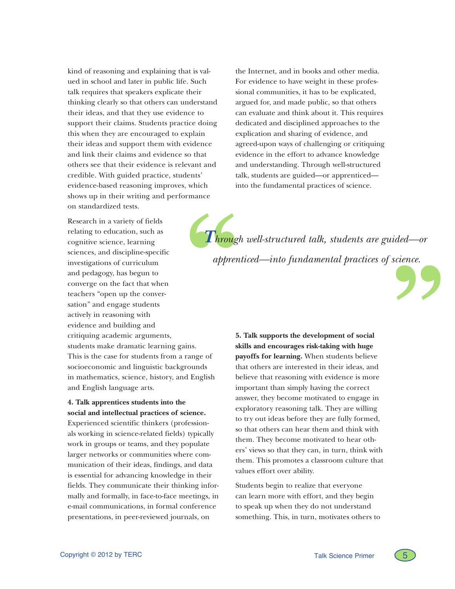kind of reasoning and explaining that is valued in school and later in public life. Such talk requires that speakers explicate their thinking clearly so that others can understand their ideas, and that they use evidence to support their claims. Students practice doing this when they are encouraged to explain their ideas and support them with evidence and link their claims and evidence so that others see that their evidence is relevant and credible. With guided practice, students' evidence-based reasoning improves, which shows up in their writing and performance on standardized tests.

Research in a variety of fields relating to education, such as cognitive science, learning sciences, and discipline-specific investigations of curriculum and pedagogy, has begun to converge on the fact that when teachers "open up the conversation" and engage students actively in reasoning with evidence and building and critiquing academic arguments, students make dramatic learning gains. This is the case for students from a range of socioeconomic and linguistic backgrounds in mathematics, science, history, and English and English language arts. **Throught Section** 

**4. Talk apprentices students into the social and intellectual practices of science.** 

Experienced scientific thinkers (professionals working in science-related fields) typically work in groups or teams, and they populate larger networks or communities where communication of their ideas, findings, and data is essential for advancing knowledge in their fields. They communicate their thinking informally and formally, in face-to-face meetings, in e-mail communications, in formal conference presentations, in peer-reviewed journals, on

the Internet, and in books and other media. For evidence to have weight in these professional communities, it has to be explicated, argued for, and made public, so that others can evaluate and think about it. This requires dedicated and disciplined approaches to the explication and sharing of evidence, and agreed-upon ways of challenging or critiquing evidence in the effort to advance knowledge and understanding. Through well-structured talk, students are guided—or apprenticed into the fundamental practices of science.

**T***hrough well-structured talk, students are guided—or apprenticed—into fundamental practices of science. apprenticed—into fundamental practices of science.*



**5. Talk supports the development of social skills and encourages risk-taking with huge payoffs for learning.** When students believe that others are interested in their ideas, and believe that reasoning with evidence is more important than simply having the correct answer, they become motivated to engage in exploratory reasoning talk. They are willing to try out ideas before they are fully formed, so that others can hear them and think with them. They become motivated to hear others' views so that they can, in turn, think with them. This promotes a classroom culture that values effort over ability.

Students begin to realize that everyone can learn more with effort, and they begin to speak up when they do not understand something. This, in turn, motivates others to

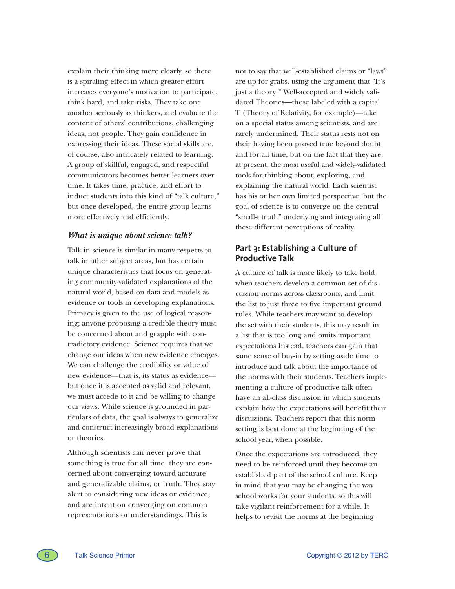explain their thinking more clearly, so there is a spiraling effect in which greater effort increases everyone's motivation to participate, think hard, and take risks. They take one another seriously as thinkers, and evaluate the content of others' contributions, challenging ideas, not people. They gain confidence in expressing their ideas. These social skills are, of course, also intricately related to learning. A group of skillful, engaged, and respectful communicators becomes better learners over time. It takes time, practice, and effort to induct students into this kind of "talk culture," but once developed, the entire group learns more effectively and efficiently.

## *What is unique about science talk?*

Talk in science is similar in many respects to talk in other subject areas, but has certain unique characteristics that focus on generating community-validated explanations of the natural world, based on data and models as evidence or tools in developing explanations. Primacy is given to the use of logical reasoning; anyone proposing a credible theory must be concerned about and grapple with contradictory evidence. Science requires that we change our ideas when new evidence emerges. We can challenge the credibility or value of new evidence—that is, its status as evidence but once it is accepted as valid and relevant, we must accede to it and be willing to change our views. While science is grounded in particulars of data, the goal is always to generalize and construct increasingly broad explanations or theories.

Although scientists can never prove that something is true for all time, they are concerned about converging toward accurate and generalizable claims, or truth. They stay alert to considering new ideas or evidence, and are intent on converging on common representations or understandings. This is

not to say that well-established claims or "laws" are up for grabs, using the argument that "It's just a theory!" Well-accepted and widely validated Theories—those labeled with a capital T (Theory of Relativity, for example)—take on a special status among scientists, and are rarely undermined. Their status rests not on their having been proved true beyond doubt and for all time, but on the fact that they are, at present, the most useful and widely-validated tools for thinking about, exploring, and explaining the natural world. Each scientist has his or her own limited perspective, but the goal of science is to converge on the central "small-t truth" underlying and integrating all these different perceptions of reality.

# **Part 3: Establishing a Culture of Productive Talk**

A culture of talk is more likely to take hold when teachers develop a common set of discussion norms across classrooms, and limit the list to just three to five important ground rules. While teachers may want to develop the set with their students, this may result in a list that is too long and omits important expectations Instead, teachers can gain that same sense of buy-in by setting aside time to introduce and talk about the importance of the norms with their students. Teachers implementing a culture of productive talk often have an all-class discussion in which students explain how the expectations will benefit their discussions. Teachers report that this norm setting is best done at the beginning of the school year, when possible.

Once the expectations are introduced, they need to be reinforced until they become an established part of the school culture. Keep in mind that you may be changing the way school works for your students, so this will take vigilant reinforcement for a while. It helps to revisit the norms at the beginning

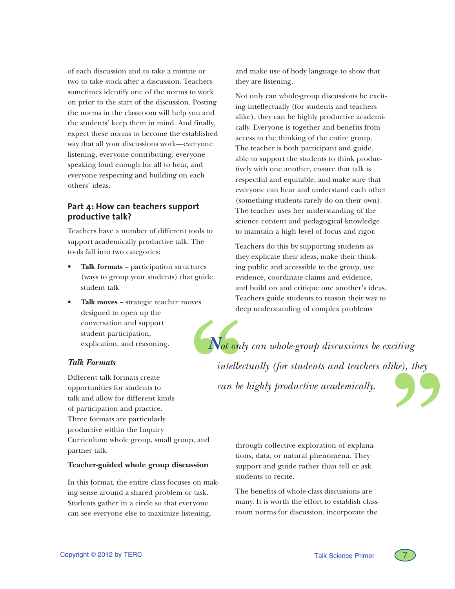of each discussion and to take a minute or two to take stock after a discussion. Teachers sometimes identify one of the norms to work on prior to the start of the discussion. Posting the norms in the classroom will help you and the students' keep them in mind. And finally, expect these norms to become the established way that all your discussions work—everyone listening, everyone contributing, everyone speaking loud enough for all to hear, and everyone respecting and building on each others' ideas.

# **Part 4: How can teachers support productive talk?**

Teachers have a number of different tools to support academically productive talk. The tools fall into two categories:

- Talk formats participation structures (ways to group your students) that guide student talk
- **Talk moves strategic teacher moves** designed to open up the conversation and support student participation, explication, and reasoning.

## *Talk Formats*

Different talk formats create opportunities for students to talk and allow for different kinds of participation and practice. Three formats are particularly productive within the Inquiry Curriculum: whole group, small group, and partner talk.

#### **Teacher-guided whole group discussion**

In this format, the entire class focuses on making sense around a shared problem or task. Students gather in a circle so that everyone can see everyone else to maximize listening,

and make use of body language to show that they are listening.

Not only can whole-group discussions be exciting intellectually (for students and teachers alike), they can be highly productive academically. Everyone is together and benefits from access to the thinking of the entire group. The teacher is both participant and guide, able to support the students to think productively with one another, ensure that talk is respectful and equitable, and make sure that everyone can hear and understand each other (something students rarely do on their own). The teacher uses her understanding of the science content and pedagogical knowledge to maintain a high level of focus and rigor.

Teachers do this by supporting students as they explicate their ideas, make their thinking public and accessible to the group, use evidence, coordinate claims and evidence, and build on and critique one another's ideas. Teachers guide students to reason their way to deep understanding of complex problems

Mot only *Not only can whole-group discussions be exciting*   $\begin{array}{c}\n\text{itting} \\
\text{ke}),\ \text{they}\n\end{array}$ *intellectually (for students and teachers alike), they can be highly productive academically.*

> through collective exploration of explanations, data, or natural phenomena. They support and guide rather than tell or ask students to recite.

The benefits of whole-class discussions are many. It is worth the effort to establish classroom norms for discussion, incorporate the

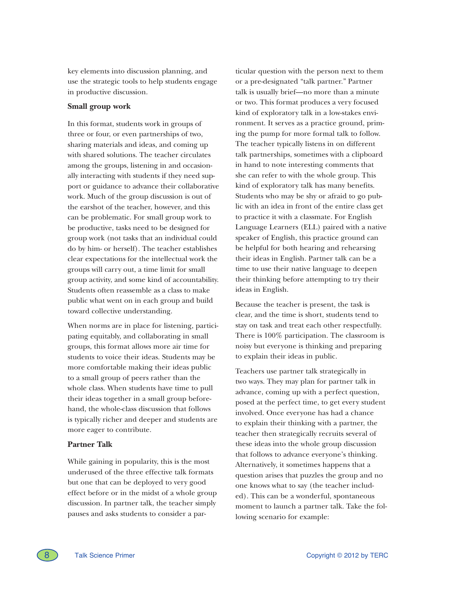key elements into discussion planning, and use the strategic tools to help students engage in productive discussion.

## **Small group work**

In this format, students work in groups of three or four, or even partnerships of two, sharing materials and ideas, and coming up with shared solutions. The teacher circulates among the groups, listening in and occasionally interacting with students if they need support or guidance to advance their collaborative work. Much of the group discussion is out of the earshot of the teacher, however, and this can be problematic. For small group work to be productive, tasks need to be designed for group work (not tasks that an individual could do by him- or herself). The teacher establishes clear expectations for the intellectual work the groups will carry out, a time limit for small group activity, and some kind of accountability. Students often reassemble as a class to make public what went on in each group and build toward collective understanding.

When norms are in place for listening, participating equitably, and collaborating in small groups, this format allows more air time for students to voice their ideas. Students may be more comfortable making their ideas public to a small group of peers rather than the whole class. When students have time to pull their ideas together in a small group beforehand, the whole-class discussion that follows is typically richer and deeper and students are more eager to contribute.

## **Partner Talk**

While gaining in popularity, this is the most underused of the three effective talk formats but one that can be deployed to very good effect before or in the midst of a whole group discussion. In partner talk, the teacher simply pauses and asks students to consider a particular question with the person next to them or a pre-designated "talk partner." Partner talk is usually brief—no more than a minute or two. This format produces a very focused kind of exploratory talk in a low-stakes environment. It serves as a practice ground, priming the pump for more formal talk to follow. The teacher typically listens in on different talk partnerships, sometimes with a clipboard in hand to note interesting comments that she can refer to with the whole group. This kind of exploratory talk has many benefits. Students who may be shy or afraid to go public with an idea in front of the entire class get to practice it with a classmate. For English Language Learners (ELL) paired with a native speaker of English, this practice ground can be helpful for both hearing and rehearsing their ideas in English. Partner talk can be a time to use their native language to deepen their thinking before attempting to try their ideas in English.

Because the teacher is present, the task is clear, and the time is short, students tend to stay on task and treat each other respectfully. There is 100% participation. The classroom is noisy but everyone is thinking and preparing to explain their ideas in public.

Teachers use partner talk strategically in two ways. They may plan for partner talk in advance, coming up with a perfect question, posed at the perfect time, to get every student involved. Once everyone has had a chance to explain their thinking with a partner, the teacher then strategically recruits several of these ideas into the whole group discussion that follows to advance everyone's thinking. Alternatively, it sometimes happens that a question arises that puzzles the group and no one knows what to say (the teacher included). This can be a wonderful, spontaneous moment to launch a partner talk. Take the following scenario for example: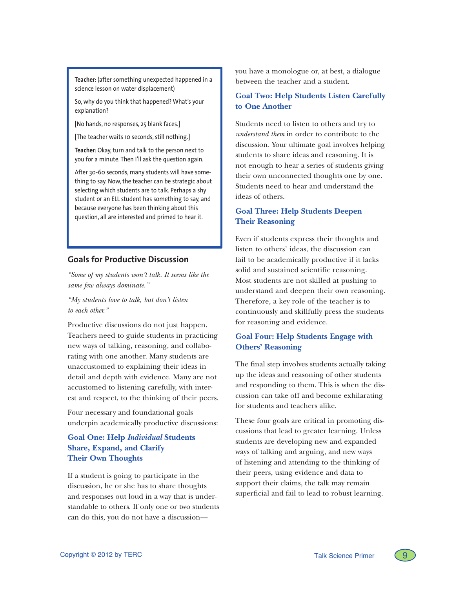**Teacher**: (after something unexpected happened in a science lesson on water displacement)

So, why do you think that happened? What's your explanation?

[No hands, no responses, 25 blank faces.]

[The teacher waits 10 seconds, still nothing.]

**Teacher**: Okay, turn and talk to the person next to you for a minute. Then I'll ask the question again.

After 30-60 seconds, many students will have something to say. Now, the teacher can be strategic about selecting which students are to talk. Perhaps a shy student or an ELL student has something to say, and because everyone has been thinking about this question, all are interested and primed to hear it.

## **Goals for Productive Discussion**

*"Some of my students won't talk. It seems like the same few always dominate."*

*"My students love to talk, but don't listen to each other."*

Productive discussions do not just happen. Teachers need to guide students in practicing new ways of talking, reasoning, and collaborating with one another. Many students are unaccustomed to explaining their ideas in detail and depth with evidence. Many are not accustomed to listening carefully, with interest and respect, to the thinking of their peers.

Four necessary and foundational goals underpin academically productive discussions:

# **Goal One: Help** *Individual* **Students Share, Expand, and Clarify Their Own Thoughts**

If a student is going to participate in the discussion, he or she has to share thoughts and responses out loud in a way that is understandable to others. If only one or two students can do this, you do not have a discussion––

you have a monologue or, at best, a dialogue between the teacher and a student.

## **Goal Two: Help Students Listen Carefully to One Another**

Students need to listen to others and try to *understand them* in order to contribute to the discussion. Your ultimate goal involves helping students to share ideas and reasoning. It is not enough to hear a series of students giving their own unconnected thoughts one by one. Students need to hear and understand the ideas of others.

## **Goal Three: Help Students Deepen Their Reasoning**

Even if students express their thoughts and listen to others' ideas, the discussion can fail to be academically productive if it lacks solid and sustained scientific reasoning. Most students are not skilled at pushing to understand and deepen their own reasoning. Therefore, a key role of the teacher is to continuously and skillfully press the students for reasoning and evidence.

## **Goal Four: Help Students Engage with Others' Reasoning**

The final step involves students actually taking up the ideas and reasoning of other students and responding to them. This is when the discussion can take off and become exhilarating for students and teachers alike.

These four goals are critical in promoting discussions that lead to greater learning. Unless students are developing new and expanded ways of talking and arguing, and new ways of listening and attending to the thinking of their peers, using evidence and data to support their claims, the talk may remain superficial and fail to lead to robust learning.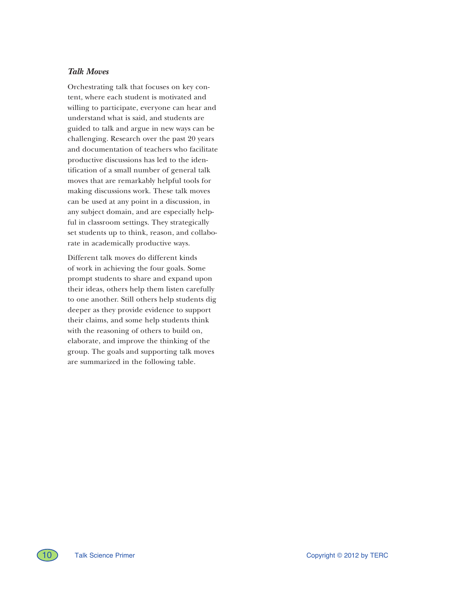## *Talk Moves*

Orchestrating talk that focuses on key content, where each student is motivated and willing to participate, everyone can hear and understand what is said, and students are guided to talk and argue in new ways can be challenging. Research over the past 20 years and documentation of teachers who facilitate productive discussions has led to the identification of a small number of general talk moves that are remarkably helpful tools for making discussions work. These talk moves can be used at any point in a discussion, in any subject domain, and are especially helpful in classroom settings. They strategically set students up to think, reason, and collaborate in academically productive ways.

Different talk moves do different kinds of work in achieving the four goals. Some prompt students to share and expand upon their ideas, others help them listen carefully to one another. Still others help students dig deeper as they provide evidence to support their claims, and some help students think with the reasoning of others to build on, elaborate, and improve the thinking of the group. The goals and supporting talk moves are summarized in the following table.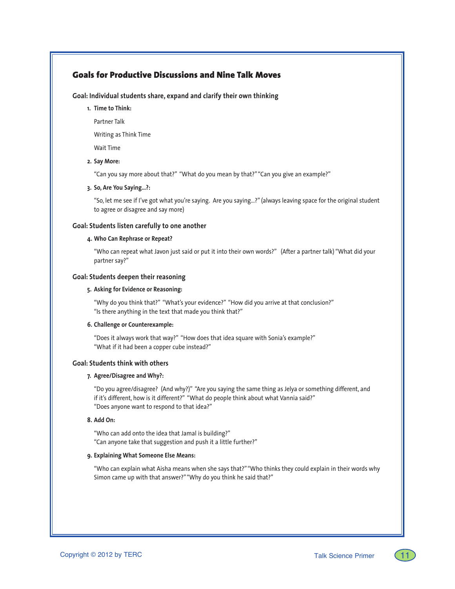# Goals for Productive Discussions and Nine Talk Moves

## **Goal: Individual students share, expand and clarify their own thinking**

**1. Time to Think:** 

Partner Talk

Writing as Think Time

Wait Time

**2. Say More:**

"Can you say more about that?" "What do you mean by that?" "Can you give an example?"

#### **3. So, Are You Saying…?:**

"So, let me see if I've got what you're saying. Are you saying…?" (always leaving space for the original student to agree or disagree and say more)

#### **Goal: Students listen carefully to one another**

#### **4. Who Can Rephrase or Repeat?**

"Who can repeat what Javon just said or put it into their own words?" (After a partner talk) "What did your partner say?"

#### **Goal: Students deepen their reasoning**

#### **5. Asking for Evidence or Reasoning:**

"Why do you think that?" "What's your evidence?" "How did you arrive at that conclusion?" "Is there anything in the text that made you think that?"

#### **6. Challenge or Counterexample:**

"Does it always work that way?" "How does that idea square with Sonia's example?" "What if it had been a copper cube instead?"

#### **Goal: Students think with others**

#### **7. Agree/Disagree and Why?:**

"Do you agree/disagree? (And why?)" "Are you saying the same thing as Jelya or something different, and if it's different, how is it different?" "What do people think about what Vannia said?" "Does anyone want to respond to that idea?"

#### **8. Add On:**

"Who can add onto the idea that Jamal is building?" "Can anyone take that suggestion and push it a little further?"

#### **9. Explaining What Someone Else Means:**

"Who can explain what Aisha means when she says that?" "Who thinks they could explain in their words why Simon came up with that answer?" "Why do you think he said that?"

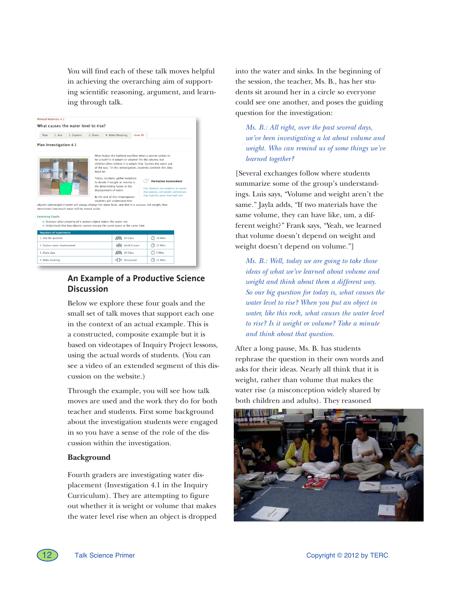You will find each of these talk moves helpful in achieving the overarching aim of supporting scientific reasoning, argument, and learning through talk.

|                               | Mineral Materials 4.1:                                                                                                                                   |                                    |                                                                                                                                                                                                                                       |                                                                                                                                                                                                                                                                                                                                                   |  |
|-------------------------------|----------------------------------------------------------------------------------------------------------------------------------------------------------|------------------------------------|---------------------------------------------------------------------------------------------------------------------------------------------------------------------------------------------------------------------------------------|---------------------------------------------------------------------------------------------------------------------------------------------------------------------------------------------------------------------------------------------------------------------------------------------------------------------------------------------------|--|
|                               | What causes the water level to rise?                                                                                                                     |                                    |                                                                                                                                                                                                                                       |                                                                                                                                                                                                                                                                                                                                                   |  |
| Plan                          | 1. Ask<br>2. Explore                                                                                                                                     | 3. Share                           | 4. Make Meaning<br><b>View All</b>                                                                                                                                                                                                    |                                                                                                                                                                                                                                                                                                                                                   |  |
|                               | Plan Investigation 4.1                                                                                                                                   |                                    |                                                                                                                                                                                                                                       |                                                                                                                                                                                                                                                                                                                                                   |  |
|                               | objects submerged in water will always change the water level, and that it is volume, not weight, that<br>determines how much water will be moved aside. | head on.<br>displacement of water. | for a bath? Is it weight or volume? It's the volume, but<br>Today, students gather evidence<br>to decide if weight or volume is<br>the determining factor in the<br>By the end of this investigation<br>students will understand that | What makes the bathtub overflow when a person settles in<br>children often believe it is weight that "pushes the water out<br>of the way." In this investigation, students confront this idea<br><b>Formative Assessment</b><br>Can students use evidence to reason<br>that volume, not weight, determines<br>how high the water level will rise? |  |
| <b>Learning Goals</b>         | · Discover what property of a sunken object makes the water rise                                                                                         |                                    |                                                                                                                                                                                                                                       |                                                                                                                                                                                                                                                                                                                                                   |  |
|                               | . Understand that two objects cannot occupy the same space at the same time                                                                              |                                    |                                                                                                                                                                                                                                       |                                                                                                                                                                                                                                                                                                                                                   |  |
|                               | <b>Sequence of experiences</b>                                                                                                                           |                                    |                                                                                                                                                                                                                                       |                                                                                                                                                                                                                                                                                                                                                   |  |
| 1. Ask the question           |                                                                                                                                                          |                                    | All Class                                                                                                                                                                                                                             | 10 Mins                                                                                                                                                                                                                                                                                                                                           |  |
| 2. Explore water displacement |                                                                                                                                                          |                                    | 808 Small Groups                                                                                                                                                                                                                      | 15 Mins                                                                                                                                                                                                                                                                                                                                           |  |
| 3. Share data                 |                                                                                                                                                          |                                    | All Class                                                                                                                                                                                                                             | 5 Mins                                                                                                                                                                                                                                                                                                                                            |  |
| 4. Make meaning               |                                                                                                                                                          |                                    | 6996<br>Discussion                                                                                                                                                                                                                    | 15 Mins                                                                                                                                                                                                                                                                                                                                           |  |
|                               |                                                                                                                                                          |                                    |                                                                                                                                                                                                                                       |                                                                                                                                                                                                                                                                                                                                                   |  |

# **An Example of a Productive Science Discussion**

Below we explore these four goals and the small set of talk moves that support each one in the context of an actual example. This is a constructed, composite example but it is based on videotapes of Inquiry Project lessons, using the actual words of students. (You can see a video of an extended segment of this discussion on the website.)

Through the example, you will see how talk moves are used and the work they do for both teacher and students. First some background about the investigation students were engaged in so you have a sense of the role of the discussion within the investigation.

## **Background**

Fourth graders are investigating water displacement (Investigation 4.1 in the Inquiry Curriculum). They are attempting to figure out whether it is weight or volume that makes the water level rise when an object is dropped into the water and sinks. In the beginning of the session, the teacher, Ms. B., has her students sit around her in a circle so everyone could see one another, and poses the guiding question for the investigation:

*Ms. B.: All right, over the past several days, we've been investigating a lot about volume and weight. Who can remind us of some things we've learned together?*

[Several exchanges follow where students summarize some of the group's understandings. Luis says, "Volume and weight aren't the same." Jayla adds, "If two materials have the same volume, they can have like, um, a different weight?" Frank says, "Yeah, we learned that volume doesn't depend on weight and weight doesn't depend on volume."]

*Ms. B.: Well, today we are going to take those ideas of what we've learned about volume and weight and think about them a different way. So our big question for today is, what causes the water level to rise? When you put an object in water, like this rock, what causes the water level to rise? Is it weight or volume? Take a minute and think about that question.*

After a long pause, Ms. B. has students rephrase the question in their own words and asks for their ideas. Nearly all think that it is weight, rather than volume that makes the water rise (a misconception widely shared by both children and adults). They reasoned

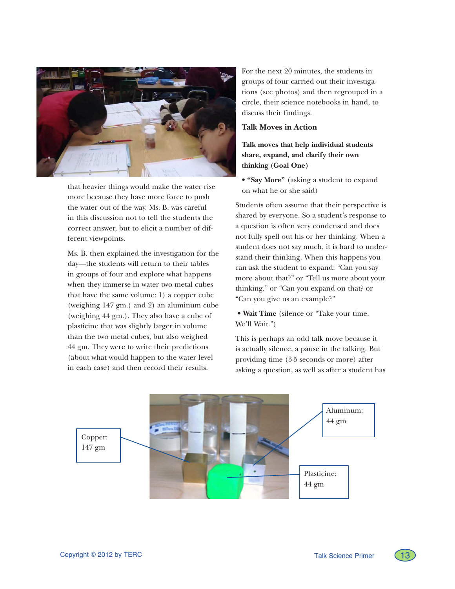

that heavier things would make the water rise more because they have more force to push the water out of the way. Ms. B. was careful in this discussion not to tell the students the correct answer, but to elicit a number of different viewpoints.

Ms. B. then explained the investigation for the day—the students will return to their tables in groups of four and explore what happens when they immerse in water two metal cubes that have the same volume: 1) a copper cube (weighing 147 gm.) and 2) an aluminum cube (weighing 44 gm.). They also have a cube of plasticine that was slightly larger in volume than the two metal cubes, but also weighed 44 gm. They were to write their predictions (about what would happen to the water level in each case) and then record their results.

For the next 20 minutes, the students in groups of four carried out their investigations (see photos) and then regrouped in a circle, their science notebooks in hand, to discuss their findings.

## **Talk Moves in Action**

**Talk moves that help individual students share, expand, and clarify their own thinking (Goal One)**

• **"Say More"** (asking a student to expand on what he or she said)

Students often assume that their perspective is shared by everyone. So a student's response to a question is often very condensed and does not fully spell out his or her thinking. When a student does not say much, it is hard to understand their thinking. When this happens you can ask the student to expand: "Can you say more about that?" or "Tell us more about your thinking." or "Can you expand on that? or "Can you give us an example?"

• **Wait Time** (silence or "Take your time. We'll Wait.")

This is perhaps an odd talk move because it is actually silence, a pause in the talking. But providing time (3-5 seconds or more) after asking a question, as well as after a student has



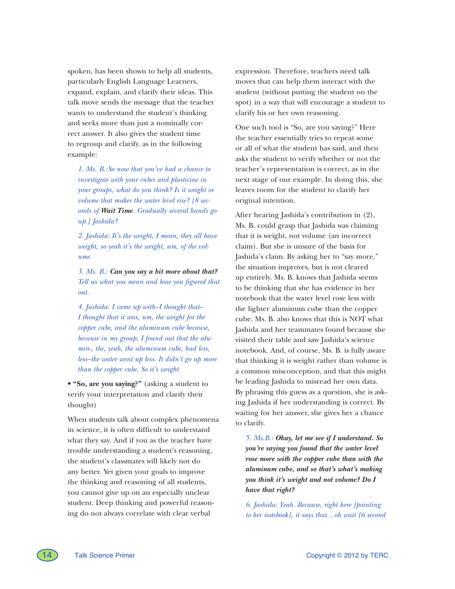spoken, has been shown to help all students, particularly English Language Learners, expand, explain, and clarify their ideas. This talk move sends the message that the teacher wants to understand the student's thinking and seeks more than just a nominally correct answer. It also gives the student time to regroup and clarify, as in the following example:

*1. Ms. B.:So now that you've had a chance to investigate with your cubes and plasticine in your groups, what do you think? Is it weight or volume that makes the water level rise? [8 seconds of Wait Time. Gradually several hands go up.] Jashida?*

*2. Jashida: It's the weight, I mean, they all have weight, so yeah it's the weight, um, of the volume.*

*3. Ms. B.: Can you say a bit more about that? Tell us what you mean and how you figured that out.*

*4. Jashida: I came up with–I thought that– I thought that it was, um, the weight for the copper cube, and the aluminum cube because, because in my group, I found out that the alumin-, the, yeah, the aluminum cube, had less, less–the water went up less. It didn't go up more than the copper cube. So it's weight.*

• **"So, are you saying?"** (asking a student to verify your interpretation and clarify their thought)

When students talk about complex phenomena in science, it is often difficult to understand what they say. And if you as the teacher have trouble understanding a student's reasoning, the student's classmates will likely not do any better. Yet given your goals to improve the thinking and reasoning of all students, you cannot give up on an especially unclear student. Deep thinking and powerful reasoning do not always correlate with clear verbal

expression. Therefore, teachers need talk moves that can help them interact with the student (without putting the student on the spot) in a way that will encourage a student to clarify his or her own reasoning.

One such tool is "So, are you saying?" Here the teacher essentially tries to repeat some or all of what the student has said, and then asks the student to verify whether or not the teacher's representation is correct, as in the next stage of our example. In doing this, she leaves room for the student to clarify her original intention.

After hearing Jashida's contribution in (2), Ms. B. could grasp that Jashida was claiming that it is weight, not volume (an incorrect claim). But she is unsure of the basis for Jashida's claim. By asking her to "say more," the situation improves, but is not cleared up entirely. Ms. B. knows that Jashida seems to be thinking that she has evidence in her notebook that the water level rose less with the lighter aluminum cube than the copper cube. Ms. B. also knows that this is NOT what Jashida and her teammates found because she visited their table and saw Jashida's science notebook. And, of course, Ms. B. is fully aware that thinking it is weight rather than volume is a common misconception, and that this might be leading Jashida to misread her own data. By phrasing this guess as a question, she is asking Jashida if her understanding is correct. By waiting for her answer, she gives her a chance to clarify.

*5. Ms.B.: Okay, let me see if I understand. So you're saying you found that the water level rose more with the copper cube than with the aluminum cube, and so that's what's making you think it's weight and not volume? Do I have that right?*

*6. Jashida: Yeah. Because, right here [pointing to her notebook], it says that…oh wait [6 second* 

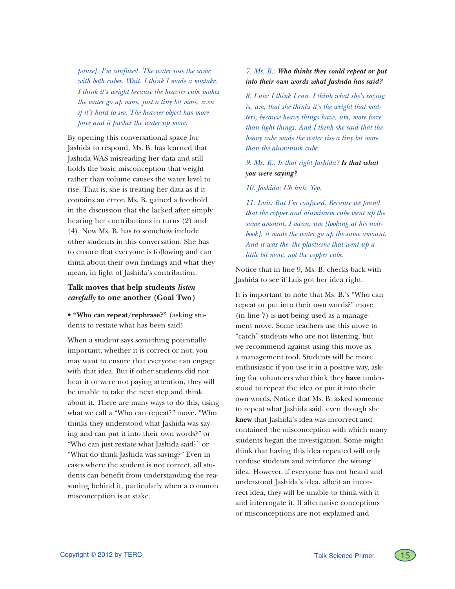*pause], I'm confused. The water rose the same with both cubes. Wait. I think I made a mistake. I think it's weight because the heavier cube makes the water go up more, just a tiny bit more, even if it's hard to see. The heavier object has more force and it pushes the water up more.*

By opening this conversational space for Jashida to respond, Ms. B. has learned that Jashida WAS misreading her data and still holds the basic misconception that weight rather than volume causes the water level to rise. That is, she is treating her data as if it contains an error. Ms. B. gained a foothold in the discussion that she lacked after simply hearing her contributions in turns (2) and (4). Now Ms. B. has to somehow include other students in this conversation. She has to ensure that everyone is following and can think about their own findings and what they mean, in light of Jashida's contribution.

## **Talk moves that help students** *listen carefully* **to one another (Goal Two)**

• **"Who can repeat/rephrase?"** (asking students to restate what has been said)

When a student says something potentially important, whether it is correct or not, you may want to ensure that everyone can engage with that idea. But if other students did not hear it or were not paying attention, they will be unable to take the next step and think about it. There are many ways to do this, using what we call a "Who can repeat?" move. "Who thinks they understood what Jashida was saying and can put it into their own words?" or "Who can just restate what Jashida said?" or "What do think Jashida was saying?" Even in cases where the student is not correct, all students can benefit from understanding the reasoning behind it, particularly when a common misconception is at stake.

*7. Ms. B.: Who thinks they could repeat or put into their own words what Jashida has said?*

*8. Luis: I think I can. I think what she's saying is, um, that she thinks it's the weight that matters, because heavy things have, um, more force than light things. And I think she said that the heavy cube made the water rise a tiny bit more than the aluminum cube.*

*9. Ms. B.: Is that right Jashida? Is that what you were saying?*

*10. Jashida: Uh huh. Yep.*

*11. Luis: But I'm confused. Because we found that the copper and aluminum cube went up the same amount. I mean, um [looking at his notebook], it made the water go up the same amount. And it was the–the plasticine that went up a little bit more, not the copper cube.*

Notice that in line 9, Ms. B. checks back with Jashida to see if Luis got her idea right.

It is important to note that Ms. B.'s "Who can repeat or put into their own words?" move (in line 7) is **not** being used as a management move. Some teachers use this move to "catch" students who are not listening, but we recommend against using this move as a management tool. Students will be more enthusiastic if you use it in a positive way, asking for volunteers who think they **have** understood to repeat the idea or put it into their own words. Notice that Ms. B. asked someone to repeat what Jashida said, even though she **knew** that Jashida's idea was incorrect and contained the misconception with which many students began the investigation. Some might think that having this idea repeated will only confuse students and reinforce the wrong idea. However, if everyone has not heard and understood Jashida's idea, albeit an incorrect idea, they will be unable to think with it and interrogate it. If alternative conceptions or misconceptions are not explained and

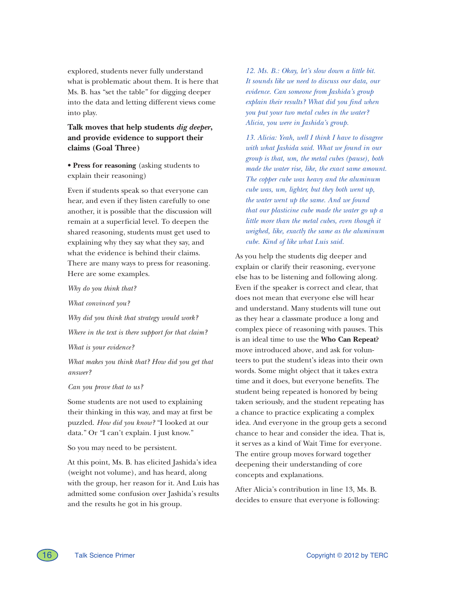explored, students never fully understand what is problematic about them. It is here that Ms. B. has "set the table" for digging deeper into the data and letting different views come into play.

## **Talk moves that help students** *dig deeper***, and provide evidence to support their claims (Goal Three)**

• **Press for reasoning** (asking students to explain their reasoning)

Even if students speak so that everyone can hear, and even if they listen carefully to one another, it is possible that the discussion will remain at a superficial level. To deepen the shared reasoning, students must get used to explaining why they say what they say, and what the evidence is behind their claims. There are many ways to press for reasoning. Here are some examples.

*Why do you think that?* 

*What convinced you?* 

*Why did you think that strategy would work?* 

*Where in the text is there support for that claim?*

*What is your evidence?* 

*What makes you think that? How did you get that answer?* 

#### *Can you prove that to us?*

Some students are not used to explaining their thinking in this way, and may at first be puzzled. *How did you know?* "I looked at our data." Or "I can't explain. I just know."

So you may need to be persistent.

At this point, Ms. B. has elicited Jashida's idea (weight not volume), and has heard, along with the group, her reason for it. And Luis has admitted some confusion over Jashida's results and the results he got in his group.

*12. Ms. B.: Okay, let's slow down a little bit. It sounds like we need to discuss our data, our evidence. Can someone from Jashida's group explain their results? What did you find when you put your two metal cubes in the water? Alicia, you were in Jashida's group.*

*13. Alicia: Yeah, well I think I have to disagree with what Jashida said. What we found in our group is that, um, the metal cubes (pause), both made the water rise, like, the exact same amount. The copper cube was heavy and the aluminum cube was, um, lighter, but they both went up, the water went up the same. And we found that our plasticine cube made the water go up a little more than the metal cubes, even though it weighed, like, exactly the same as the aluminum cube. Kind of like what Luis said.* 

As you help the students dig deeper and explain or clarify their reasoning, everyone else has to be listening and following along. Even if the speaker is correct and clear, that does not mean that everyone else will hear and understand. Many students will tune out as they hear a classmate produce a long and complex piece of reasoning with pauses. This is an ideal time to use the **Who Can Repeat?** move introduced above, and ask for volunteers to put the student's ideas into their own words. Some might object that it takes extra time and it does, but everyone benefits. The student being repeated is honored by being taken seriously, and the student repeating has a chance to practice explicating a complex idea. And everyone in the group gets a second chance to hear and consider the idea. That is, it serves as a kind of Wait Time for everyone. The entire group moves forward together deepening their understanding of core concepts and explanations.

After Alicia's contribution in line 13, Ms. B. decides to ensure that everyone is following:

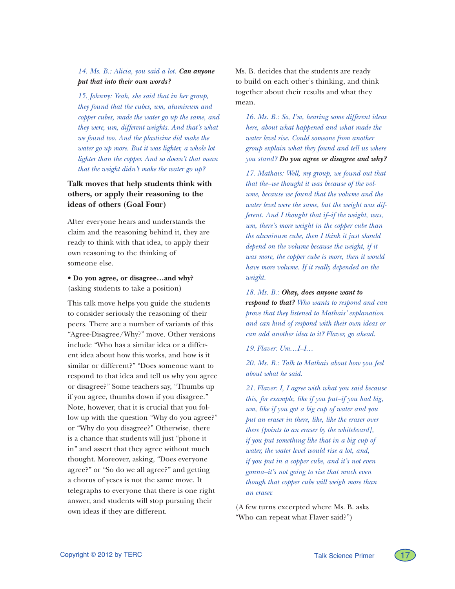## *14. Ms. B.: Alicia, you said a lot. Can anyone put that into their own words?*

*15. Johnny: Yeah, she said that in her group, they found that the cubes, um, aluminum and copper cubes, made the water go up the same, and they were, um, different weights. And that's what we found too. And the plasticine did make the water go up more. But it was lighter, a whole lot lighter than the copper. And so doesn't that mean that the weight didn't make the water go up?*

# **Talk moves that help students think with others, or apply their reasoning to the ideas of others (Goal Four)**

After everyone hears and understands the claim and the reasoning behind it, they are ready to think with that idea, to apply their own reasoning to the thinking of someone else.

• **Do you agree, or disagree…and why?**  (asking students to take a position)

This talk move helps you guide the students to consider seriously the reasoning of their peers. There are a number of variants of this "Agree-Disagree/Why?" move. Other versions include "Who has a similar idea or a different idea about how this works, and how is it similar or different?" "Does someone want to respond to that idea and tell us why you agree or disagree?" Some teachers say, "Thumbs up if you agree, thumbs down if you disagree." Note, however, that it is crucial that you follow up with the question "Why do you agree?" or "Why do you disagree?" Otherwise, there is a chance that students will just "phone it in" and assert that they agree without much thought. Moreover, asking, "Does everyone agree?" or "So do we all agree?" and getting a chorus of yeses is not the same move. It telegraphs to everyone that there is one right answer, and students will stop pursuing their own ideas if they are different.

Ms. B. decides that the students are ready to build on each other's thinking, and think together about their results and what they mean.

*16. Ms. B.: So, I'm, hearing some different ideas here, about what happened and what made the water level rise. Could someone from another group explain what they found and tell us where you stand? Do you agree or disagree and why?*

*17. Mathais: Well, my group, we found out that that the–we thought it was because of the volume, because we found that the volume and the water level were the same, but the weight was different. And I thought that if–if the weight, was, um, there's more weight in the copper cube than the aluminum cube, then I think it just should depend on the volume because the weight, if it was more, the copper cube is more, then it would have more volume. If it really depended on the weight.*

*18. Ms. B.: Okay, does anyone want to* 

*respond to that? Who wants to respond and can prove that they listened to Mathais' explanation and can kind of respond with their own ideas or can add another idea to it? Flaver, go ahead.*

*19. Flaver: Um…I–I…*

*20. Ms. B.: Talk to Mathais about how you feel about what he said.*

*21. Flaver: I, I agree with what you said because this, for example, like if you put–if you had big, um, like if you got a big cup of water and you put an eraser in there, like, like the eraser over there [points to an eraser by the whiteboard], if you put something like that in a big cup of water, the water level would rise a lot, and, if you put in a copper cube, and it's not even gonna–it's not going to rise that much even though that copper cube will weigh more than an eraser.*

(A few turns excerpted where Ms. B. asks "Who can repeat what Flaver said?")

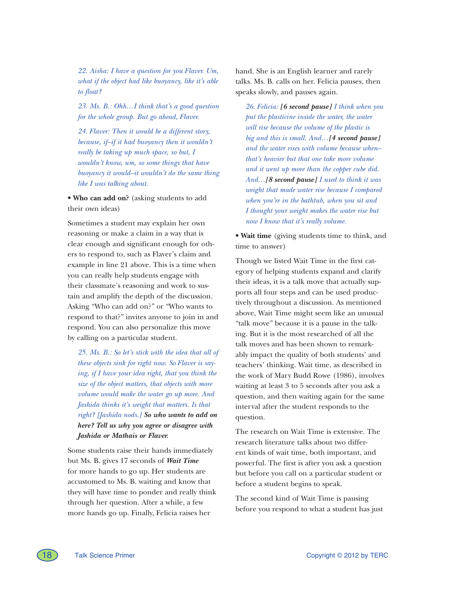*22. Aisha: I have a question for you Flaver. Um, what if the object had like buoyancy, like it's able to float?*

*23. Ms. B.: Ohh…I think that's a good question for the whole group. But go ahead, Flaver.*

*24. Flaver: Then it would be a different story, because, if–if it had buoyancy then it wouldn't really be taking up much space, so but, I wouldn't know, um, so some things that have buoyancy it would–it wouldn't do the same thing like I was talking about.*

• **Who can add on?** (asking students to add their own ideas)

Sometimes a student may explain her own reasoning or make a claim in a way that is clear enough and significant enough for others to respond to, such as Flaver's claim and example in line 21 above. This is a time when you can really help students engage with their classmate's reasoning and work to sustain and amplify the depth of the discussion. Asking "Who can add on?" or "Who wants to respond to that?" invites anyone to join in and respond. You can also personalize this move by calling on a particular student.

*25. Ms. B.: So let's stick with the idea that all of these objects sink for right now. So Flaver is saying, if I have your idea right, that you think the size of the object matters, that objects with more volume would make the water go up more. And Jashida thinks it's weight that matters. Is that right? [Jashida nods.] So who wants to add on here? Tell us why you agree or disagree with Jashida or Mathais or Flaver.*

Some students raise their hands immediately but Ms. B. gives 17 seconds of *Wait Time* for more hands to go up. Her students are accustomed to Ms. B. waiting and know that they will have time to ponder and really think through her question. After a while, a few more hands go up. Finally, Felicia raises her

hand. She is an English learner and rarely talks. Ms. B. calls on her. Felicia pauses, then speaks slowly, and pauses again.

*26. Felicia: [6 second pause] I think when you put the plasticine inside the water, the water will rise because the volume of the plastic is big and this is small. And…[4 second pause] and the water rises with volume because when– that's heavier but that one take more volume and it went up more than the copper cube did. And…[8 second pause] I used to think it was weight that made water rise because I compared when you're in the bathtub, when you sit and I thought your weight makes the water rise but now I know that it's really volume.* 

• **Wait time** (giving students time to think, and time to answer)

Though we listed Wait Time in the first category of helping students expand and clarify their ideas, it is a talk move that actually supports all four steps and can be used productively throughout a discussion. As mentioned above, Wait Time might seem like an unusual "talk move" because it is a pause in the talking. But it is the most researched of all the talk moves and has been shown to remarkably impact the quality of both students' and teachers' thinking. Wait time, as described in the work of Mary Budd Rowe (1986), involves waiting at least 3 to 5 seconds after you ask a question, and then waiting again for the same interval after the student responds to the question.

The research on Wait Time is extensive. The research literature talks about two different kinds of wait time, both important, and powerful. The first is after you ask a question but before you call on a particular student or before a student begins to speak.

The second kind of Wait Time is pausing before you respond to what a student has just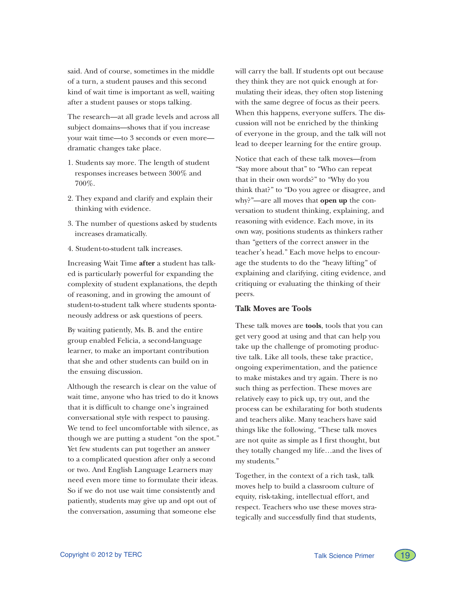said. And of course, sometimes in the middle of a turn, a student pauses and this second kind of wait time is important as well, waiting after a student pauses or stops talking.

The research—at all grade levels and across all subject domains—shows that if you increase your wait time—to 3 seconds or even more dramatic changes take place.

- 1. Students say more. The length of student responses increases between 300% and 700%.
- 2. They expand and clarify and explain their thinking with evidence.
- 3. The number of questions asked by students increases dramatically.
- 4. Student-to-student talk increases.

Increasing Wait Time **after** a student has talked is particularly powerful for expanding the complexity of student explanations, the depth of reasoning, and in growing the amount of student-to-student talk where students spontaneously address or ask questions of peers.

By waiting patiently, Ms. B. and the entire group enabled Felicia, a second-language learner, to make an important contribution that she and other students can build on in the ensuing discussion.

Although the research is clear on the value of wait time, anyone who has tried to do it knows that it is difficult to change one's ingrained conversational style with respect to pausing. We tend to feel uncomfortable with silence, as though we are putting a student "on the spot." Yet few students can put together an answer to a complicated question after only a second or two. And English Language Learners may need even more time to formulate their ideas. So if we do not use wait time consistently and patiently, students may give up and opt out of the conversation, assuming that someone else

will carry the ball. If students opt out because they think they are not quick enough at formulating their ideas, they often stop listening with the same degree of focus as their peers. When this happens, everyone suffers. The discussion will not be enriched by the thinking of everyone in the group, and the talk will not lead to deeper learning for the entire group.

Notice that each of these talk moves—from "Say more about that" to "Who can repeat that in their own words?" to "Why do you think that?" to "Do you agree or disagree, and why?"—are all moves that **open up** the conversation to student thinking, explaining, and reasoning with evidence. Each move, in its own way, positions students as thinkers rather than "getters of the correct answer in the teacher's head." Each move helps to encourage the students to do the "heavy lifting" of explaining and clarifying, citing evidence, and critiquing or evaluating the thinking of their peers.

## **Talk Moves are Tools**

These talk moves are **tools**, tools that you can get very good at using and that can help you take up the challenge of promoting productive talk. Like all tools, these take practice, ongoing experimentation, and the patience to make mistakes and try again. There is no such thing as perfection. These moves are relatively easy to pick up, try out, and the process can be exhilarating for both students and teachers alike. Many teachers have said things like the following, "These talk moves are not quite as simple as I first thought, but they totally changed my life…and the lives of my students."

Together, in the context of a rich task, talk moves help to build a classroom culture of equity, risk-taking, intellectual effort, and respect. Teachers who use these moves strategically and successfully find that students,